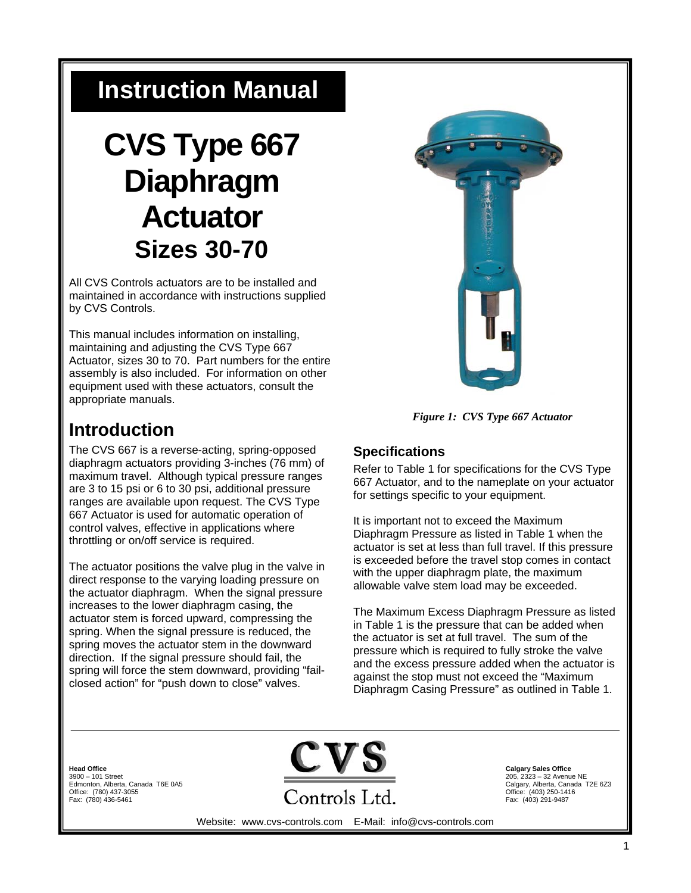## **Instruction Manual**

# **CVS Type 667 Diaphragm Actuator Sizes 30-70**

All CVS Controls actuators are to be installed and maintained in accordance with instructions supplied by CVS Controls.

This manual includes information on installing, maintaining and adjusting the CVS Type 667 Actuator, sizes 30 to 70. Part numbers for the entire assembly is also included. For information on other equipment used with these actuators, consult the appropriate manuals.

### **Introduction**

The CVS 667 is a reverse-acting, spring-opposed diaphragm actuators providing 3-inches (76 mm) of maximum travel. Although typical pressure ranges are 3 to 15 psi or 6 to 30 psi, additional pressure ranges are available upon request. The CVS Type 667 Actuator is used for automatic operation of control valves, effective in applications where throttling or on/off service is required.

The actuator positions the valve plug in the valve in direct response to the varying loading pressure on the actuator diaphragm. When the signal pressure increases to the lower diaphragm casing, the actuator stem is forced upward, compressing the spring. When the signal pressure is reduced, the spring moves the actuator stem in the downward direction. If the signal pressure should fail, the spring will force the stem downward, providing "failclosed action" for "push down to close" valves.



*Figure 1: CVS Type 667 Actuator* 

### **Specifications**

Refer to Table 1 for specifications for the CVS Type 667 Actuator, and to the nameplate on your actuator for settings specific to your equipment.

It is important not to exceed the Maximum Diaphragm Pressure as listed in Table 1 when the actuator is set at less than full travel. If this pressure is exceeded before the travel stop comes in contact with the upper diaphragm plate, the maximum allowable valve stem load may be exceeded.

The Maximum Excess Diaphragm Pressure as listed in Table 1 is the pressure that can be added when the actuator is set at full travel. The sum of the pressure which is required to fully stroke the valve and the excess pressure added when the actuator is against the stop must not exceed the "Maximum Diaphragm Casing Pressure" as outlined in Table 1.

**Head Office**  3900 – 101 Street Edmonton, Alberta, Canada T6E 0A5 Office: (780) 437-3055 Fax: (780) 436-5461



**Calgary Sales Office** 205, 2323 – 32 Avenue NE Calgary, Alberta, Canada T2E 6Z3 Office: (403) 250-1416 Fax: (403) 291-9487

Website: www.cvs-controls.com E-Mail: info@cvs-controls.com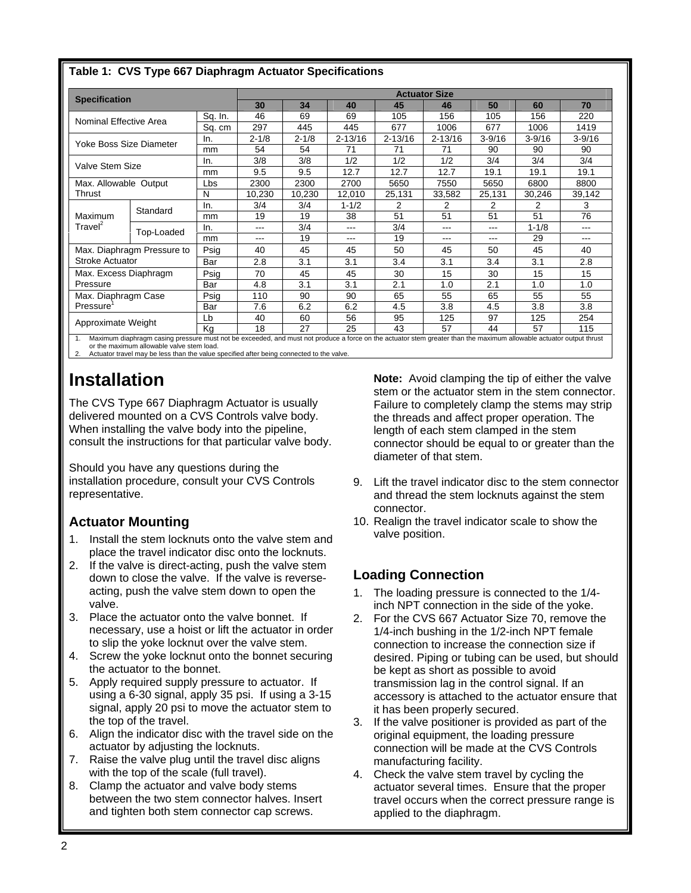| <b>Specification</b>    |                            | <b>Actuator Size</b> |           |           |             |             |             |            |            |            |
|-------------------------|----------------------------|----------------------|-----------|-----------|-------------|-------------|-------------|------------|------------|------------|
|                         |                            | 30                   | 34        | 40        | 45          | 46          | 50          | 60         | 70         |            |
| Nominal Effective Area  |                            | Sq. In.              | 46        | 69        | 69          | 105         | 156         | 105        | 156        | 220        |
|                         |                            | Sq. cm               | 297       | 445       | 445         | 677         | 1006        | 677        | 1006       | 1419       |
| Yoke Boss Size Diameter |                            | In.                  | $2 - 1/8$ | $2 - 1/8$ | $2 - 13/16$ | $2 - 13/16$ | $2 - 13/16$ | $3 - 9/16$ | $3 - 9/16$ | $3 - 9/16$ |
|                         |                            | mm                   | 54        | 54        | 71          | 71          | 71          | 90         | 90         | 90         |
| Valve Stem Size         |                            | In.                  | 3/8       | 3/8       | 1/2         | 1/2         | 1/2         | 3/4        | 3/4        | 3/4        |
|                         |                            | mm                   | 9.5       | 9.5       | 12.7        | 12.7        | 12.7        | 19.1       | 19.1       | 19.1       |
| Max. Allowable Output   |                            | Lbs                  | 2300      | 2300      | 2700        | 5650        | 7550        | 5650       | 6800       | 8800       |
| Thrust                  |                            | N                    | 10,230    | 10,230    | 12,010      | 25,131      | 33,582      | 25,131     | 30,246     | 39,142     |
|                         | Standard                   | In.                  | 3/4       | 3/4       | $1 - 1/2$   | 2           | 2           | 2          | 2          | 3          |
| Maximum                 |                            | mm                   | 19        | 19        | 38          | 51          | 51          | 51         | 51         | 76         |
| Travel <sup>2</sup>     | Top-Loaded                 | In.                  | ---       | 3/4       | ---         | 3/4         | ---         | ---        | $1 - 1/8$  | ---        |
|                         |                            | mm                   | ---       | 19        | ---         | 19          | ---         | ---        | 29         | ---        |
|                         | Max. Diaphragm Pressure to | Psig                 | 40        | 45        | 45          | 50          | 45          | 50         | 45         | 40         |
| <b>Stroke Actuator</b>  |                            | Bar                  | 2.8       | 3.1       | 3.1         | 3.4         | 3.1         | 3.4        | 3.1        | 2.8        |
| Max. Excess Diaphragm   |                            | Psig                 | 70        | 45        | 45          | 30          | 15          | 30         | 15         | 15         |
| Pressure                |                            | Bar                  | 4.8       | 3.1       | 3.1         | 2.1         | 1.0         | 2.1        | 1.0        | 1.0        |
| Max. Diaphragm Case     |                            | Psig                 | 110       | 90        | 90          | 65          | 55          | 65         | 55         | 55         |
| Pressure <sup>'</sup>   |                            | Bar                  | 7.6       | 6.2       | 6.2         | 4.5         | 3.8         | 4.5        | 3.8        | 3.8        |
|                         |                            | Lb                   | 40        | 60        | 56          | 95          | 125         | 97         | 125        | 254        |
| Approximate Weight      |                            | Kg                   | 18        | 27        | 25          | 43          | 57          | 44         | 57         | 115        |

#### **Table 1: CVS Type 667 Diaphragm Actuator Specifications**

or the maximum allowable valve stem load. 2. Actuator travel may be less than the value specified after being connected to the valve.

### **Installation**

The CVS Type 667 Diaphragm Actuator is usually delivered mounted on a CVS Controls valve body. When installing the valve body into the pipeline, consult the instructions for that particular valve body.

Should you have any questions during the installation procedure, consult your CVS Controls representative.

### **Actuator Mounting**

- 1. Install the stem locknuts onto the valve stem and place the travel indicator disc onto the locknuts.
- 2. If the valve is direct-acting, push the valve stem down to close the valve. If the valve is reverseacting, push the valve stem down to open the valve.
- 3. Place the actuator onto the valve bonnet. If necessary, use a hoist or lift the actuator in order to slip the yoke locknut over the valve stem.
- 4. Screw the yoke locknut onto the bonnet securing the actuator to the bonnet.
- 5. Apply required supply pressure to actuator. If using a 6-30 signal, apply 35 psi. If using a 3-15 signal, apply 20 psi to move the actuator stem to the top of the travel.
- 6. Align the indicator disc with the travel side on the actuator by adjusting the locknuts.
- 7. Raise the valve plug until the travel disc aligns with the top of the scale (full travel).
- 8. Clamp the actuator and valve body stems between the two stem connector halves. Insert and tighten both stem connector cap screws.

**Note:** Avoid clamping the tip of either the valve stem or the actuator stem in the stem connector. Failure to completely clamp the stems may strip the threads and affect proper operation. The length of each stem clamped in the stem connector should be equal to or greater than the diameter of that stem.

- 9. Lift the travel indicator disc to the stem connector and thread the stem locknuts against the stem connector.
- 10. Realign the travel indicator scale to show the valve position.

### **Loading Connection**

- 1. The loading pressure is connected to the 1/4 inch NPT connection in the side of the yoke.
- 2. For the CVS 667 Actuator Size 70, remove the 1/4-inch bushing in the 1/2-inch NPT female connection to increase the connection size if desired. Piping or tubing can be used, but should be kept as short as possible to avoid transmission lag in the control signal. If an accessory is attached to the actuator ensure that it has been properly secured.
- 3. If the valve positioner is provided as part of the original equipment, the loading pressure connection will be made at the CVS Controls manufacturing facility.
- 4. Check the valve stem travel by cycling the actuator several times. Ensure that the proper travel occurs when the correct pressure range is applied to the diaphragm.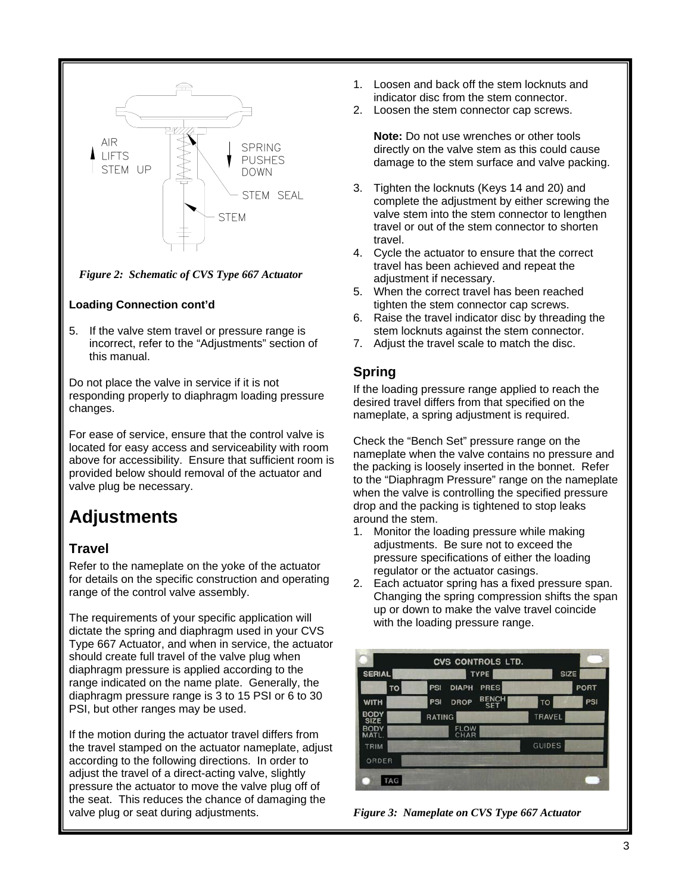

*Figure 2: Schematic of CVS Type 667 Actuator* 

#### **Loading Connection cont'd**

5. If the valve stem travel or pressure range is incorrect, refer to the "Adjustments" section of this manual.

Do not place the valve in service if it is not responding properly to diaphragm loading pressure changes.

For ease of service, ensure that the control valve is located for easy access and serviceability with room above for accessibility. Ensure that sufficient room is provided below should removal of the actuator and valve plug be necessary.

### **Adjustments**

### **Travel**

Refer to the nameplate on the yoke of the actuator for details on the specific construction and operating range of the control valve assembly.

The requirements of your specific application will dictate the spring and diaphragm used in your CVS Type 667 Actuator, and when in service, the actuator should create full travel of the valve plug when diaphragm pressure is applied according to the range indicated on the name plate. Generally, the diaphragm pressure range is 3 to 15 PSI or 6 to 30 PSI, but other ranges may be used.

If the motion during the actuator travel differs from the travel stamped on the actuator nameplate, adjust according to the following directions. In order to adjust the travel of a direct-acting valve, slightly pressure the actuator to move the valve plug off of the seat. This reduces the chance of damaging the valve plug or seat during adjustments.

- 1. Loosen and back off the stem locknuts and indicator disc from the stem connector.
- 2. Loosen the stem connector cap screws.

**Note:** Do not use wrenches or other tools directly on the valve stem as this could cause damage to the stem surface and valve packing.

- 3. Tighten the locknuts (Keys 14 and 20) and complete the adjustment by either screwing the valve stem into the stem connector to lengthen travel or out of the stem connector to shorten travel.
- 4. Cycle the actuator to ensure that the correct travel has been achieved and repeat the adjustment if necessary.
- 5. When the correct travel has been reached tighten the stem connector cap screws.
- 6. Raise the travel indicator disc by threading the stem locknuts against the stem connector.
- 7. Adjust the travel scale to match the disc.

#### **Spring**

If the loading pressure range applied to reach the desired travel differs from that specified on the nameplate, a spring adjustment is required.

Check the "Bench Set" pressure range on the nameplate when the valve contains no pressure and the packing is loosely inserted in the bonnet. Refer to the "Diaphragm Pressure" range on the nameplate when the valve is controlling the specified pressure drop and the packing is tightened to stop leaks around the stem.

- 1. Monitor the loading pressure while making adjustments. Be sure not to exceed the pressure specifications of either the loading regulator or the actuator casings.
- 2. Each actuator spring has a fixed pressure span. Changing the spring compression shifts the span up or down to make the valve travel coincide with the loading pressure range.



*Figure 3: Nameplate on CVS Type 667 Actuator*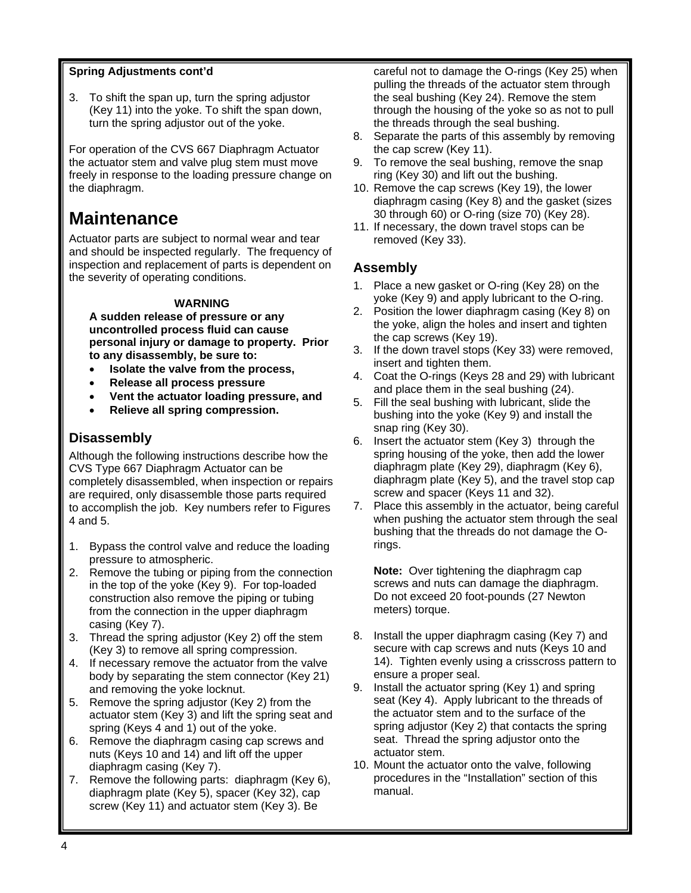#### **Spring Adjustments cont'd**

3. To shift the span up, turn the spring adjustor (Key 11) into the yoke. To shift the span down, turn the spring adjustor out of the yoke.

For operation of the CVS 667 Diaphragm Actuator the actuator stem and valve plug stem must move freely in response to the loading pressure change on the diaphragm.

### **Maintenance**

Actuator parts are subject to normal wear and tear and should be inspected regularly. The frequency of inspection and replacement of parts is dependent on the severity of operating conditions.

#### **WARNING**

**A sudden release of pressure or any uncontrolled process fluid can cause personal injury or damage to property. Prior to any disassembly, be sure to:** 

- **Isolate the valve from the process,**
- **Release all process pressure**
- **Vent the actuator loading pressure, and**
- **Relieve all spring compression.**

### **Disassembly**

Although the following instructions describe how the CVS Type 667 Diaphragm Actuator can be completely disassembled, when inspection or repairs are required, only disassemble those parts required to accomplish the job. Key numbers refer to Figures 4 and 5.

- 1. Bypass the control valve and reduce the loading pressure to atmospheric.
- 2. Remove the tubing or piping from the connection in the top of the yoke (Key 9). For top-loaded construction also remove the piping or tubing from the connection in the upper diaphragm casing (Key 7).
- 3. Thread the spring adjustor (Key 2) off the stem (Key 3) to remove all spring compression.
- 4. If necessary remove the actuator from the valve body by separating the stem connector (Key 21) and removing the yoke locknut.
- 5. Remove the spring adjustor (Key 2) from the actuator stem (Key 3) and lift the spring seat and spring (Keys 4 and 1) out of the yoke.
- 6. Remove the diaphragm casing cap screws and nuts (Keys 10 and 14) and lift off the upper diaphragm casing (Key 7).
- 7. Remove the following parts: diaphragm (Key 6), diaphragm plate (Key 5), spacer (Key 32), cap screw (Key 11) and actuator stem (Key 3). Be

careful not to damage the O-rings (Key 25) when pulling the threads of the actuator stem through the seal bushing (Key 24). Remove the stem through the housing of the yoke so as not to pull the threads through the seal bushing.

- 8. Separate the parts of this assembly by removing the cap screw (Key 11).
- 9. To remove the seal bushing, remove the snap ring (Key 30) and lift out the bushing.
- 10. Remove the cap screws (Key 19), the lower diaphragm casing (Key 8) and the gasket (sizes 30 through 60) or O-ring (size 70) (Key 28).
- 11. If necessary, the down travel stops can be removed (Key 33).

### **Assembly**

- 1. Place a new gasket or O-ring (Key 28) on the yoke (Key 9) and apply lubricant to the O-ring.
- 2. Position the lower diaphragm casing (Key 8) on the yoke, align the holes and insert and tighten the cap screws (Key 19).
- 3. If the down travel stops (Key 33) were removed, insert and tighten them.
- 4. Coat the O-rings (Keys 28 and 29) with lubricant and place them in the seal bushing (24).
- 5. Fill the seal bushing with lubricant, slide the bushing into the yoke (Key 9) and install the snap ring (Key 30).
- 6. Insert the actuator stem (Key 3) through the spring housing of the yoke, then add the lower diaphragm plate (Key 29), diaphragm (Key 6), diaphragm plate (Key 5), and the travel stop cap screw and spacer (Keys 11 and 32).
- 7. Place this assembly in the actuator, being careful when pushing the actuator stem through the seal bushing that the threads do not damage the Orings.

**Note:** Over tightening the diaphragm cap screws and nuts can damage the diaphragm. Do not exceed 20 foot-pounds (27 Newton meters) torque.

- 8. Install the upper diaphragm casing (Key 7) and secure with cap screws and nuts (Keys 10 and 14). Tighten evenly using a crisscross pattern to ensure a proper seal.
- 9. Install the actuator spring (Key 1) and spring seat (Key 4). Apply lubricant to the threads of the actuator stem and to the surface of the spring adjustor (Key 2) that contacts the spring seat. Thread the spring adjustor onto the actuator stem.
- 10. Mount the actuator onto the valve, following procedures in the "Installation" section of this manual.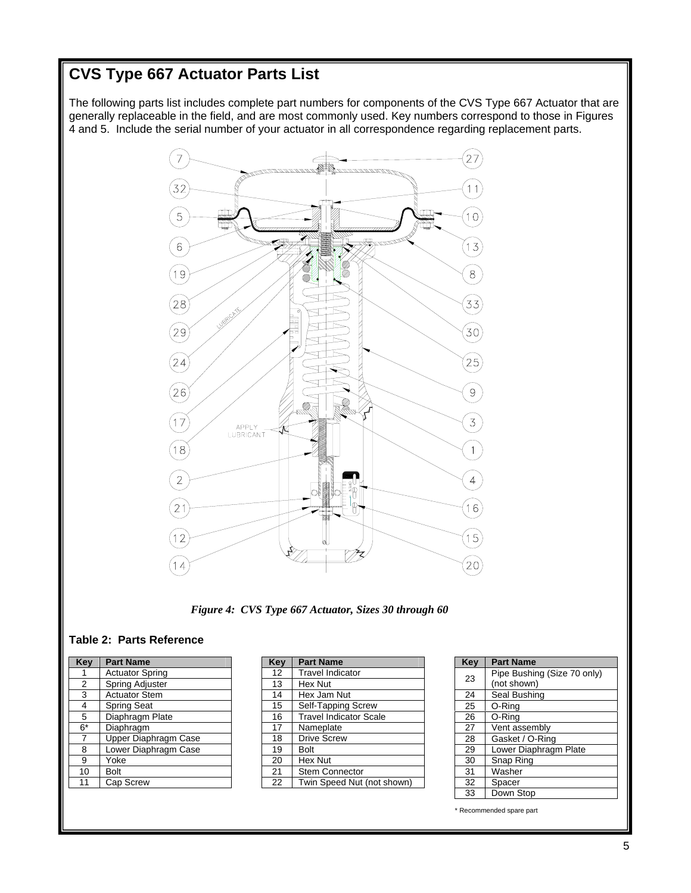### **CVS Type 667 Actuator Parts List**

The following parts list includes complete part numbers for components of the CVS Type 667 Actuator that are generally replaceable in the field, and are most commonly used. Key numbers correspond to those in Figures 4 and 5. Include the serial number of your actuator in all correspondence regarding replacement parts.



*Figure 4: CVS Type 667 Actuator, Sizes 30 through 60* 

#### **Table 2: Parts Reference**

| Key            | <b>Part Name</b>            |
|----------------|-----------------------------|
|                | <b>Actuator Spring</b>      |
| $\overline{2}$ | Spring Adjuster             |
| 3              | <b>Actuator Stem</b>        |
| 4              | <b>Spring Seat</b>          |
| 5              | Diaphragm Plate             |
| $6^\star$      | Diaphragm                   |
| 7              | <b>Upper Diaphragm Case</b> |
| 8              | Lower Diaphragm Case        |
| 9              | Yoke                        |
| 10             | <b>Bolt</b>                 |
| 11             | Cap Screw                   |
|                |                             |

| Key | <b>Part Name</b>              |
|-----|-------------------------------|
| 12  | <b>Travel Indicator</b>       |
| 13  | Hex Nut                       |
| 14  | Hex Jam Nut                   |
| 15  | Self-Tapping Screw            |
| 16  | <b>Travel Indicator Scale</b> |
| 17  | Nameplate                     |
| 18  | <b>Drive Screw</b>            |
| 19  | Bolt                          |
| 20  | Hex Nut                       |
| 21  | <b>Stem Connector</b>         |
| 22  | Twin Speed Nut (not shown)    |

| Pipe Bushing (Size 70 only) |
|-----------------------------|
| (not shown)                 |
| Seal Bushing                |
| O-Ring                      |
| O-Ring                      |
| Vent assembly               |
| Gasket / O-Ring             |
| Lower Diaphragm Plate       |
| Snap Ring                   |
| Washer                      |
| Spacer                      |
| Down Stop                   |
|                             |

\* Recommended spare part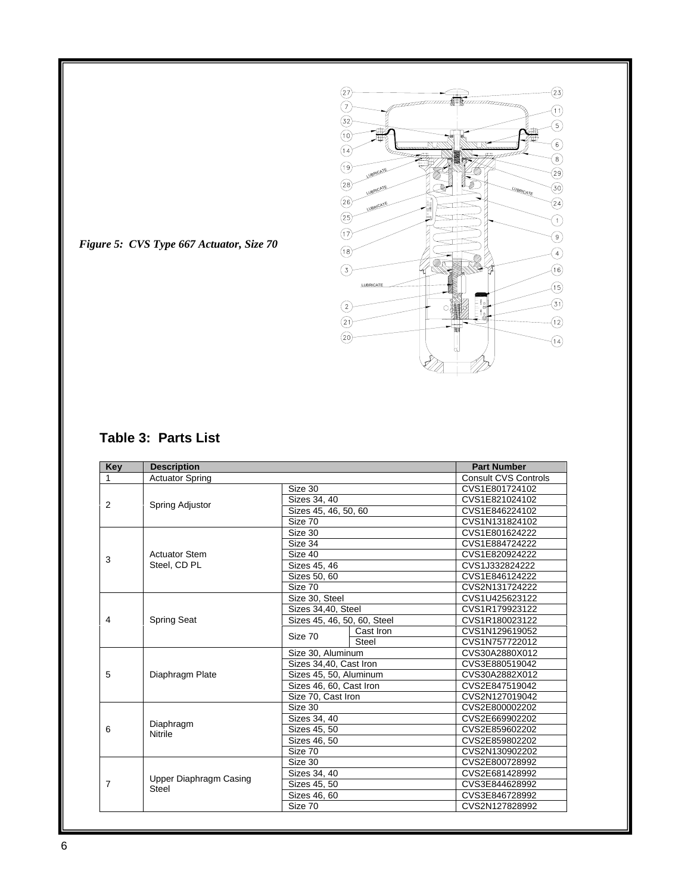

*Figure 5: CVS Type 667 Actuator, Size 70* 

### **Table 3: Parts List**

| <b>Key</b>   | <b>Description</b>                     | <b>Part Number</b>          |                             |
|--------------|----------------------------------------|-----------------------------|-----------------------------|
| $\mathbf{1}$ | <b>Actuator Spring</b>                 |                             | <b>Consult CVS Controls</b> |
| 2            |                                        | Size 30                     | CVS1E801724102              |
|              | Spring Adjustor                        | Sizes 34, 40                | CVS1E821024102              |
|              |                                        | Sizes 45, 46, 50, 60        | CVS1E846224102              |
|              |                                        | Size 70                     | CVS1N131824102              |
|              |                                        | Size 30                     | CVS1E801624222              |
|              |                                        | Size 34                     | CVS1E884724222              |
| 3            | <b>Actuator Stem</b>                   | Size 40                     | CVS1E820924222              |
|              | Steel. CD PL                           | Sizes 45, 46                | CVS1J332824222              |
|              |                                        | Sizes 50, 60                | CVS1E846124222              |
|              |                                        | Size 70                     | CVS2N131724222              |
|              |                                        | Size 30, Steel              | CVS1U425623122              |
|              |                                        | Sizes 34,40, Steel          | CVS1R179923122              |
| 4            | <b>Spring Seat</b>                     | Sizes 45, 46, 50, 60, Steel | CVS1R180023122              |
|              |                                        | Cast Iron<br>Size 70        | CVS1N129619052              |
|              |                                        | Steel                       | CVS1N757722012              |
|              |                                        | Size 30, Aluminum           | CVS30A2880X012              |
|              |                                        | Sizes 34,40, Cast Iron      | CVS3E880519042              |
| 5            | Diaphragm Plate                        | Sizes 45, 50, Aluminum      | CVS30A2882X012              |
|              |                                        | Sizes 46, 60, Cast Iron     | CVS2E847519042              |
|              |                                        | Size 70, Cast Iron          | CVS2N127019042              |
|              |                                        | Size 30                     | CVS2E800002202              |
|              |                                        | Sizes 34, 40                | CVS2E669902202              |
| 6            | Diaphragm<br>Nitrile                   | Sizes 45, 50                | CVS2E859602202              |
|              |                                        | Sizes 46, 50                | CVS2E859802202              |
|              |                                        | Size 70                     | CVS2N130902202              |
|              |                                        | Size 30                     | CVS2E800728992              |
|              |                                        | Sizes 34, 40                | CVS2E681428992              |
| 7            | <b>Upper Diaphragm Casing</b><br>Steel | Sizes 45, 50                | CVS3E844628992              |
|              |                                        | Sizes 46, 60                | CVS3E846728992              |
|              |                                        | Size 70                     | CVS2N127828992              |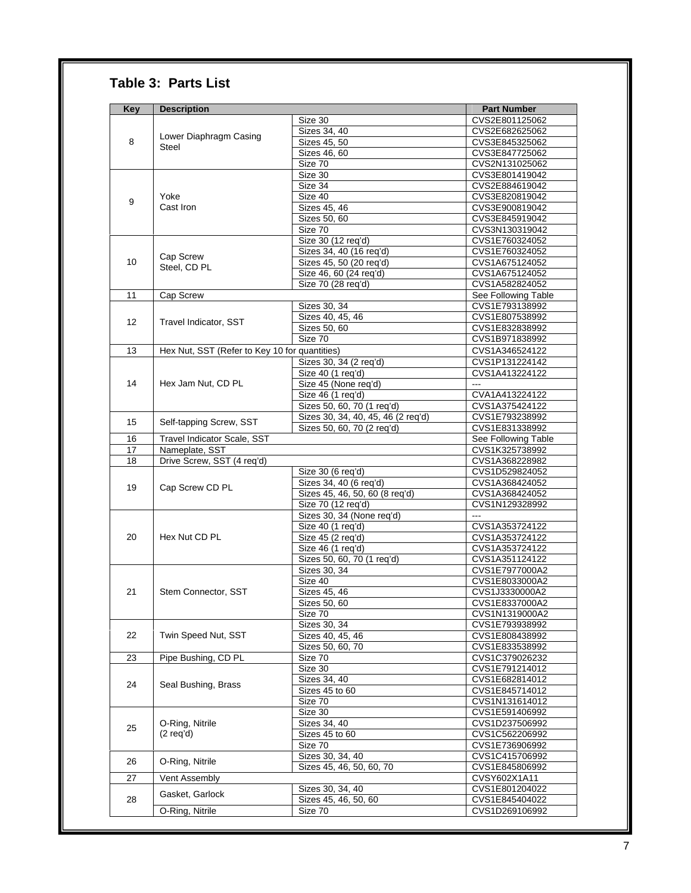### **Table 3: Parts List**

| <b>Key</b>      | <b>Description</b>                            |                                    | <b>Part Number</b>  |
|-----------------|-----------------------------------------------|------------------------------------|---------------------|
|                 |                                               | Size 30                            | CVS2E801125062      |
|                 |                                               | Sizes 34, 40                       | CVS2E682625062      |
| 8               | Lower Diaphragm Casing                        | Sizes 45, 50                       | CVS3E845325062      |
|                 | Steel                                         | Sizes 46, 60                       | CVS3E847725062      |
|                 |                                               | Size 70                            | CVS2N131025062      |
|                 |                                               | Size 30                            | CVS3E801419042      |
|                 |                                               | Size 34                            | CVS2E884619042      |
|                 | Yoke                                          | Size 40                            | CVS3E820819042      |
| 9               | Cast Iron                                     | Sizes 45, 46                       | CVS3E900819042      |
|                 |                                               | Sizes 50, 60                       | CVS3E845919042      |
|                 |                                               | Size 70                            | CVS3N130319042      |
|                 |                                               | Size 30 (12 req'd)                 | CVS1E760324052      |
|                 |                                               | Sizes 34, 40 (16 req'd)            | CVS1E760324052      |
| 10              | Cap Screw                                     |                                    | CVS1A675124052      |
|                 | Steel, CD PL                                  | Sizes 45, 50 (20 req'd)            | CVS1A675124052      |
|                 |                                               | Size 46, 60 (24 req'd)             |                     |
|                 |                                               | Size 70 (28 req'd)                 | CVS1A582824052      |
| 11              | Cap Screw                                     |                                    | See Following Table |
|                 |                                               | Sizes 30, 34                       | CVS1E793138992      |
| 12 <sup>°</sup> | Travel Indicator, SST                         | Sizes 40, 45, 46                   | CVS1E807538992      |
|                 |                                               | Sizes 50, 60                       | CVS1E832838992      |
|                 |                                               | Size 70                            | CVS1B971838992      |
| 13              | Hex Nut, SST (Refer to Key 10 for quantities) |                                    | CVS1A346524122      |
|                 |                                               | Sizes 30, 34 (2 req'd)             | CVS1P131224142      |
|                 |                                               | Size 40 (1 req'd)                  | CVS1A413224122      |
| 14              | Hex Jam Nut, CD PL                            | Size 45 (None req'd)               | $\overline{a}$      |
|                 |                                               | Size 46 (1 req'd)                  | CVA1A413224122      |
|                 |                                               | Sizes 50, 60, 70 (1 req'd)         | CVS1A375424122      |
|                 |                                               | Sizes 30, 34, 40, 45, 46 (2 req'd) | CVS1E793238992      |
| 15              | Self-tapping Screw, SST                       | Sizes 50, 60, 70 (2 req'd)         | CVS1E831338992      |
| 16              | <b>Travel Indicator Scale, SST</b>            |                                    | See Following Table |
| 17              | Nameplate, SST                                |                                    | CVS1K325738992      |
| 18              | Drive Screw, SST (4 req'd)                    |                                    | CVS1A368228982      |
|                 |                                               | Size 30 (6 req'd)                  | CVS1D529824052      |
|                 |                                               | Sizes 34, 40 (6 req'd)             | CVS1A368424052      |
| 19              | Cap Screw CD PL                               | Sizes 45, 46, 50, 60 (8 req'd)     | CVS1A368424052      |
|                 |                                               | Size 70 (12 req'd)                 | CVS1N129328992      |
|                 |                                               | Sizes 30, 34 (None req'd)          |                     |
|                 |                                               | Size 40 (1 req'd)                  | CVS1A353724122      |
| 20              | Hex Nut CD PL                                 | Size 45 (2 req'd)                  | CVS1A353724122      |
|                 |                                               | Size 46 (1 reg'd)                  | CVS1A353724122      |
|                 |                                               | Sizes 50, 60, 70 (1 req'd)         | CVS1A351124122      |
|                 |                                               |                                    | CVS1E7977000A2      |
|                 |                                               | Sizes 30, 34<br>Size 40            | CVS1E8033000A2      |
|                 |                                               |                                    |                     |
| 21              | Stem Connector, SST                           | Sizes 45, 46                       | CVS1J3330000A2      |
|                 |                                               | Sizes 50, 60                       | CVS1E8337000A2      |
|                 |                                               | Size 70                            | CVS1N1319000A2      |
|                 |                                               | Sizes 30, 34                       | CVS1E793938992      |
| 22              | Twin Speed Nut, SST                           | Sizes 40, 45, 46                   | CVS1E808438992      |
|                 |                                               | Sizes 50, 60, 70                   | CVS1E833538992      |
| 23              | Pipe Bushing, CD PL                           | Size 70                            | CVS1C379026232      |
|                 |                                               | Size 30                            | CVS1E791214012      |
| 24              | Seal Bushing, Brass                           | Sizes 34, 40                       | CVS1E682814012      |
|                 |                                               | Sizes 45 to 60                     | CVS1E845714012      |
|                 |                                               | Size 70                            | CVS1N131614012      |
|                 |                                               | Size 30                            | CVS1E591406992      |
|                 | O-Ring, Nitrile                               | Sizes 34, 40                       | CVS1D237506992      |
| 25              | $(2 \text{ req'}d)$                           | Sizes 45 to 60                     | CVS1C562206992      |
|                 |                                               | Size 70                            | CVS1E736906992      |
|                 |                                               | Sizes 30, 34, 40                   | CVS1C415706992      |
| 26              | O-Ring, Nitrile                               | Sizes 45, 46, 50, 60, 70           | CVS1E845806992      |
| 27              | Vent Assembly                                 |                                    | CVSY602X1A11        |
|                 |                                               | Sizes 30, 34, 40                   | CVS1E801204022      |
| 28              | Gasket, Garlock                               | Sizes 45, 46, 50, 60               | CVS1E845404022      |
|                 | O-Ring, Nitrile                               | Size 70                            | CVS1D269106992      |
|                 |                                               |                                    |                     |